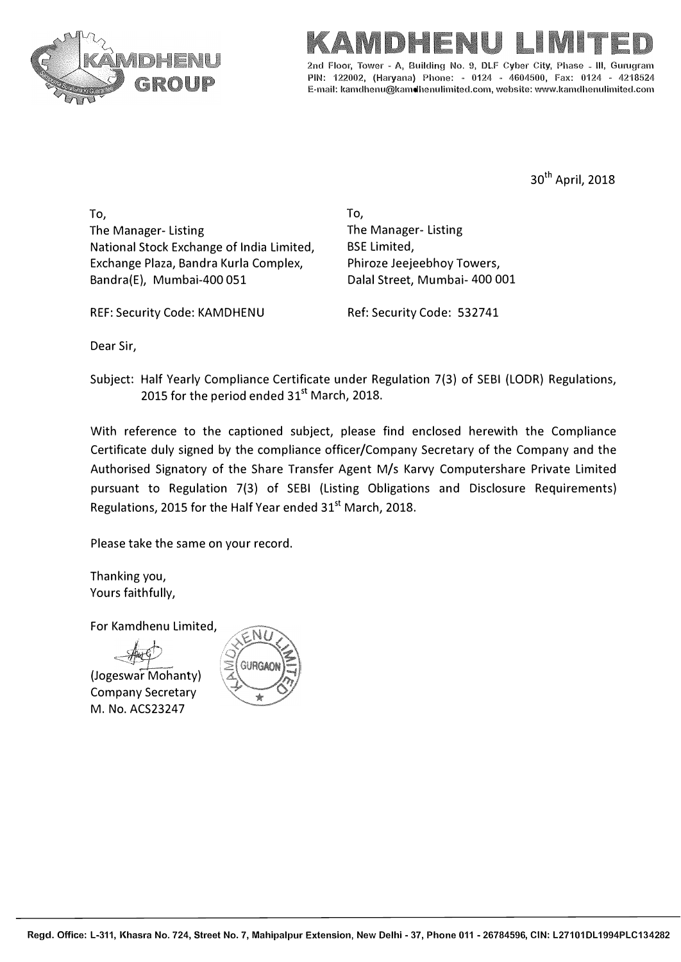

## I IME

2nd Floor, Tower - A, Building No. 9, DLF Cyber City, Phase - III, Gurugram PIN: 122002, (Haryana) Phone: - 0124 - 4604500, Fax: 0124 - 4218524 E-mail: kamdhenu@kamdhenulimited.com, website: wwv1.kamdhenulimited.com

<sup>30</sup>th April, 2018

To, The Manager- Listing National Stock Exchange of India Limited, Exchange Plaza, Bandra Kurla Complex, Bandra(E), Mumbai-400 051

To, The Manager- Listing BSE Limited, Phiroze Jeejeebhoy Towers, Dalal Street, Mumbai- 400 001

REF: Security Code: KAMDHENU

Ref: Security Code: 532741

Dear Sir,

Subject: Half Yearly Compliance Certificate under Regulation 7(3) of SEBI (LODR) Regulations, 2015 for the period ended 31<sup>st</sup> March, 2018.

With reference to the captioned subject, please find enclosed herewith the Compliance Certificate duly signed by the compliance officer/Company Secretary of the Company and the Authorised Signatory of the Share Transfer Agent M/s Karvy Computershare Private Limited pursuant to Regulation 7(3) of SEBI (Listing Obligations and Disclosure Requirements) Regulations, 2015 for the Half Year ended 31<sup>st</sup> March, 2018.

Please take the same on your record.

Thanking you, Yours faithfully,

For Kamdhenu Limited,

(Jogeswar Mohanty) Company Secretary M. No. ACS23247